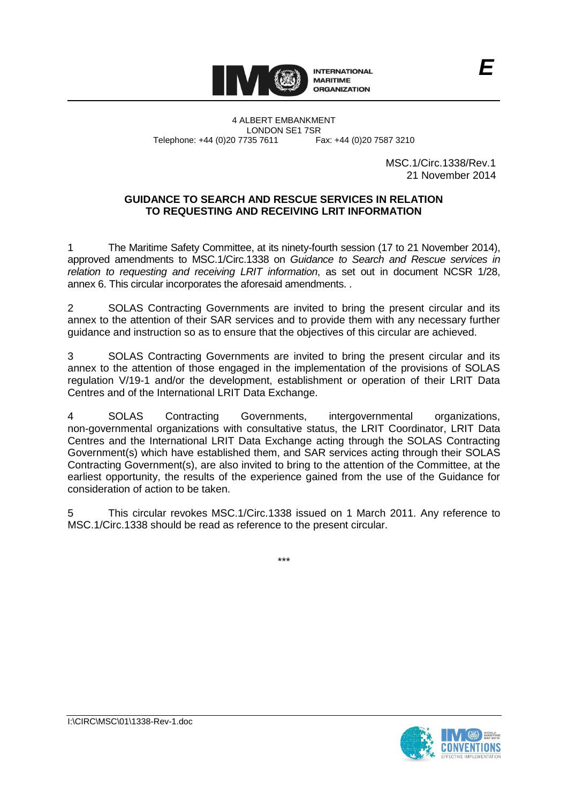

4 ALBERT EMBANKMENT LONDON SE1 7SR Telephone: +44 (0)20 7735 7611

> MSC.1/Circ.1338/Rev.1 21 November 2014

## **GUIDANCE TO SEARCH AND RESCUE SERVICES IN RELATION TO REQUESTING AND RECEIVING LRIT INFORMATION**

1 The Maritime Safety Committee, at its ninety-fourth session (17 to 21 November 2014), approved amendments to MSC.1/Circ.1338 on *Guidance to Search and Rescue services in relation to requesting and receiving LRIT information*, as set out in document NCSR 1/28, annex 6. This circular incorporates the aforesaid amendments. .

2 SOLAS Contracting Governments are invited to bring the present circular and its annex to the attention of their SAR services and to provide them with any necessary further guidance and instruction so as to ensure that the objectives of this circular are achieved.

3 SOLAS Contracting Governments are invited to bring the present circular and its annex to the attention of those engaged in the implementation of the provisions of SOLAS regulation V/19-1 and/or the development, establishment or operation of their LRIT Data Centres and of the International LRIT Data Exchange.

4 SOLAS Contracting Governments, intergovernmental organizations, non-governmental organizations with consultative status, the LRIT Coordinator, LRIT Data Centres and the International LRIT Data Exchange acting through the SOLAS Contracting Government(s) which have established them, and SAR services acting through their SOLAS Contracting Government(s), are also invited to bring to the attention of the Committee, at the earliest opportunity, the results of the experience gained from the use of the Guidance for consideration of action to be taken.

5 This circular revokes MSC.1/Circ.1338 issued on 1 March 2011. Any reference to MSC.1/Circ.1338 should be read as reference to the present circular.

\*\*\*

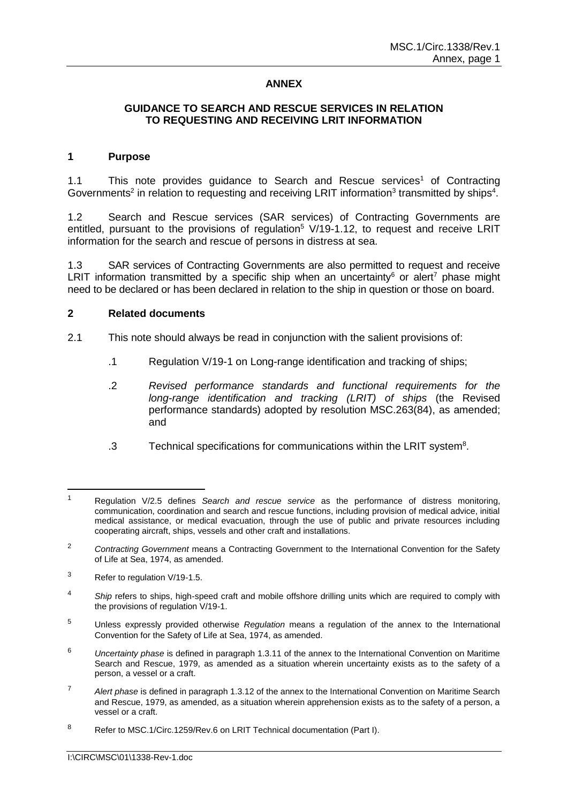### **ANNEX**

### **GUIDANCE TO SEARCH AND RESCUE SERVICES IN RELATION TO REQUESTING AND RECEIVING LRIT INFORMATION**

#### **1 Purpose**

1.1 This note provides guidance to Search and Rescue services<sup>1</sup> of Contracting Governments<sup>2</sup> in relation to requesting and receiving LRIT information<sup>3</sup> transmitted by ships<sup>4</sup>.

1.2 Search and Rescue services (SAR services) of Contracting Governments are entitled, pursuant to the provisions of regulation<sup>5</sup>  $V/19-1.12$ , to request and receive LRIT information for the search and rescue of persons in distress at sea.

1.3 SAR services of Contracting Governments are also permitted to request and receive LRIT information transmitted by a specific ship when an uncertainty<sup>6</sup> or alert<sup>7</sup> phase might need to be declared or has been declared in relation to the ship in question or those on board.

### **2 Related documents**

2.1 This note should always be read in conjunction with the salient provisions of:

- .1 Regulation V/19-1 on Long-range identification and tracking of ships;
- .2 *Revised performance standards and functional requirements for the long-range identification and tracking (LRIT) of ships* (the Revised performance standards) adopted by resolution MSC.263(84), as amended; and
- .3 Technical specifications for communications within the LRIT system<sup>8</sup>.

- <sup>3</sup> Refer to regulation V/19-1.5.
- <sup>4</sup> *Ship* refers to ships, high-speed craft and mobile offshore drilling units which are required to comply with the provisions of regulation V/19-1.
- <sup>5</sup> Unless expressly provided otherwise *Regulation* means a regulation of the annex to the International Convention for the Safety of Life at Sea, 1974, as amended.
- <sup>6</sup> *Uncertainty phase* is defined in paragraph 1.3.11 of the annex to the International Convention on Maritime Search and Rescue, 1979, as amended as a situation wherein uncertainty exists as to the safety of a person, a vessel or a craft.
- <sup>7</sup> *Alert phase* is defined in paragraph 1.3.12 of the annex to the International Convention on Maritime Search and Rescue, 1979, as amended, as a situation wherein apprehension exists as to the safety of a person, a vessel or a craft.

 $\overline{1}$ <sup>1</sup> Regulation V/2.5 defines *Search and rescue service* as the performance of distress monitoring, communication, coordination and search and rescue functions, including provision of medical advice, initial medical assistance, or medical evacuation, through the use of public and private resources including cooperating aircraft, ships, vessels and other craft and installations.

<sup>2</sup> *Contracting Government* means a Contracting Government to the International Convention for the Safety of Life at Sea, 1974, as amended.

<sup>8</sup> Refer to MSC.1/Circ.1259/Rev.6 on LRIT Technical documentation (Part I).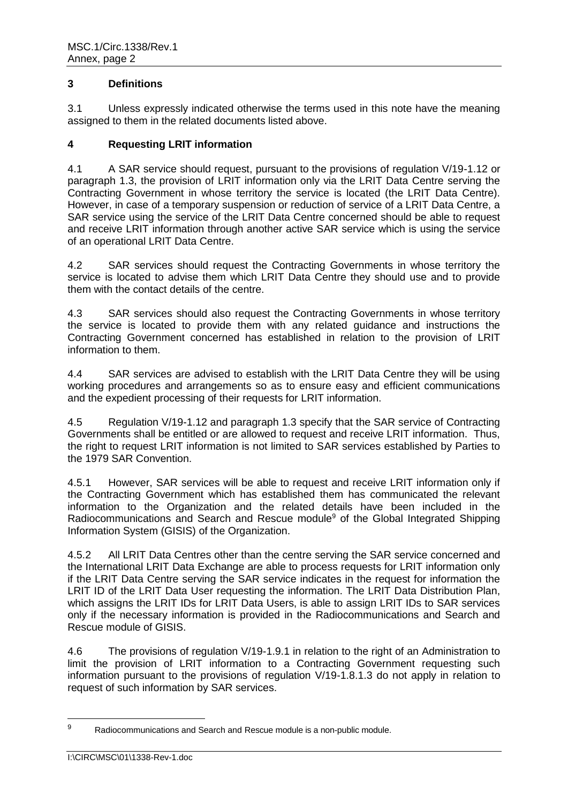## **3 Definitions**

3.1 Unless expressly indicated otherwise the terms used in this note have the meaning assigned to them in the related documents listed above.

# **4 Requesting LRIT information**

4.1 A SAR service should request, pursuant to the provisions of regulation V/19-1.12 or paragraph 1.3, the provision of LRIT information only via the LRIT Data Centre serving the Contracting Government in whose territory the service is located (the LRIT Data Centre). However, in case of a temporary suspension or reduction of service of a LRIT Data Centre, a SAR service using the service of the LRIT Data Centre concerned should be able to request and receive LRIT information through another active SAR service which is using the service of an operational LRIT Data Centre.

4.2 SAR services should request the Contracting Governments in whose territory the service is located to advise them which LRIT Data Centre they should use and to provide them with the contact details of the centre.

4.3 SAR services should also request the Contracting Governments in whose territory the service is located to provide them with any related guidance and instructions the Contracting Government concerned has established in relation to the provision of LRIT information to them.

4.4 SAR services are advised to establish with the LRIT Data Centre they will be using working procedures and arrangements so as to ensure easy and efficient communications and the expedient processing of their requests for LRIT information.

4.5 Regulation V/19-1.12 and paragraph 1.3 specify that the SAR service of Contracting Governments shall be entitled or are allowed to request and receive LRIT information. Thus, the right to request LRIT information is not limited to SAR services established by Parties to the 1979 SAR Convention.

4.5.1 However, SAR services will be able to request and receive LRIT information only if the Contracting Government which has established them has communicated the relevant information to the Organization and the related details have been included in the Radiocommunications and Search and Rescue module<sup>9</sup> of the Global Integrated Shipping Information System (GISIS) of the Organization.

4.5.2 All LRIT Data Centres other than the centre serving the SAR service concerned and the International LRIT Data Exchange are able to process requests for LRIT information only if the LRIT Data Centre serving the SAR service indicates in the request for information the LRIT ID of the LRIT Data User requesting the information. The LRIT Data Distribution Plan, which assigns the LRIT IDs for LRIT Data Users, is able to assign LRIT IDs to SAR services only if the necessary information is provided in the Radiocommunications and Search and Rescue module of GISIS.

4.6 The provisions of regulation V/19-1.9.1 in relation to the right of an Administration to limit the provision of LRIT information to a Contracting Government requesting such information pursuant to the provisions of regulation V/19-1.8.1.3 do not apply in relation to request of such information by SAR services.

 $\overline{9}$ Radiocommunications and Search and Rescue module is a non-public module.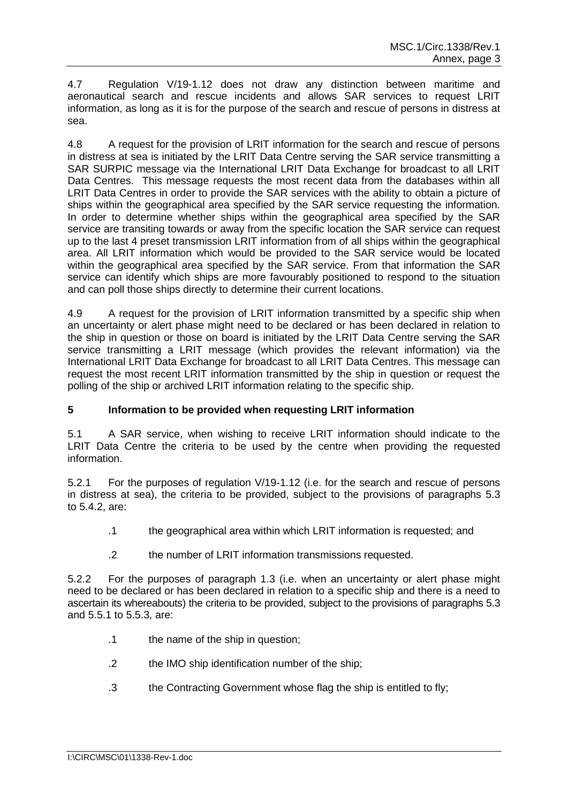4.7 Regulation V/19-1.12 does not draw any distinction between maritime and aeronautical search and rescue incidents and allows SAR services to request LRIT information, as long as it is for the purpose of the search and rescue of persons in distress at sea.

4.8 A request for the provision of LRIT information for the search and rescue of persons in distress at sea is initiated by the LRIT Data Centre serving the SAR service transmitting a SAR SURPIC message via the International LRIT Data Exchange for broadcast to all LRIT Data Centres. This message requests the most recent data from the databases within all LRIT Data Centres in order to provide the SAR services with the ability to obtain a picture of ships within the geographical area specified by the SAR service requesting the information. In order to determine whether ships within the geographical area specified by the SAR service are transiting towards or away from the specific location the SAR service can request up to the last 4 preset transmission LRIT information from of all ships within the geographical area. All LRIT information which would be provided to the SAR service would be located within the geographical area specified by the SAR service. From that information the SAR service can identify which ships are more favourably positioned to respond to the situation and can poll those ships directly to determine their current locations.

4.9 A request for the provision of LRIT information transmitted by a specific ship when an uncertainty or alert phase might need to be declared or has been declared in relation to the ship in question or those on board is initiated by the LRIT Data Centre serving the SAR service transmitting a LRIT message (which provides the relevant information) via the International LRIT Data Exchange for broadcast to all LRIT Data Centres. This message can request the most recent LRIT information transmitted by the ship in question or request the polling of the ship or archived LRIT information relating to the specific ship.

## **5 Information to be provided when requesting LRIT information**

5.1 A SAR service, when wishing to receive LRIT information should indicate to the LRIT Data Centre the criteria to be used by the centre when providing the requested information.

5.2.1 For the purposes of regulation V/19-1.12 (i.e. for the search and rescue of persons in distress at sea), the criteria to be provided, subject to the provisions of paragraphs 5.3 to 5.4.2, are:

- .1 the geographical area within which LRIT information is requested; and
- .2 the number of LRIT information transmissions requested.

5.2.2 For the purposes of paragraph 1.3 (i.e. when an uncertainty or alert phase might need to be declared or has been declared in relation to a specific ship and there is a need to ascertain its whereabouts) the criteria to be provided, subject to the provisions of paragraphs 5.3 and 5.5.1 to 5.5.3, are:

- .1 the name of the ship in question;
- .2 the IMO ship identification number of the ship;
- .3 the Contracting Government whose flag the ship is entitled to fly;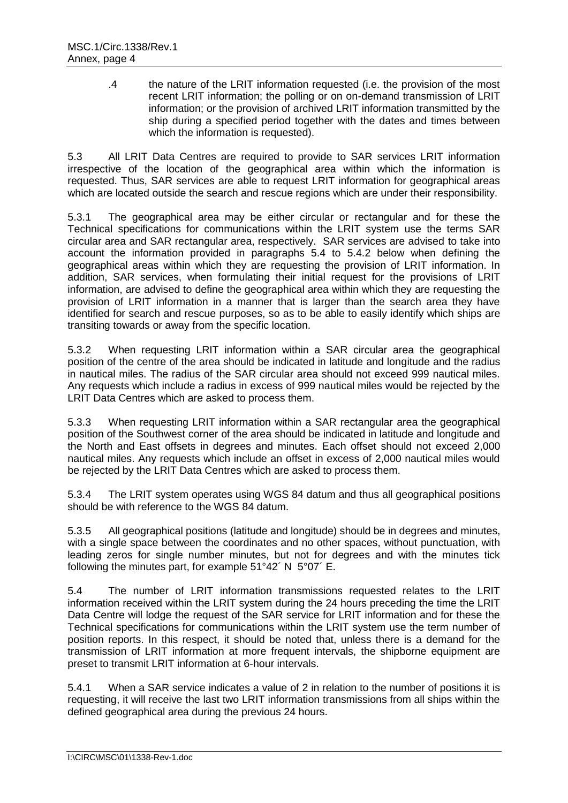.4 the nature of the LRIT information requested (i.e. the provision of the most recent LRIT information; the polling or on on-demand transmission of LRIT information; or the provision of archived LRIT information transmitted by the ship during a specified period together with the dates and times between which the information is requested).

5.3 All LRIT Data Centres are required to provide to SAR services LRIT information irrespective of the location of the geographical area within which the information is requested. Thus, SAR services are able to request LRIT information for geographical areas which are located outside the search and rescue regions which are under their responsibility.

5.3.1 The geographical area may be either circular or rectangular and for these the Technical specifications for communications within the LRIT system use the terms SAR circular area and SAR rectangular area, respectively. SAR services are advised to take into account the information provided in paragraphs 5.4 to 5.4.2 below when defining the geographical areas within which they are requesting the provision of LRIT information. In addition, SAR services, when formulating their initial request for the provisions of LRIT information, are advised to define the geographical area within which they are requesting the provision of LRIT information in a manner that is larger than the search area they have identified for search and rescue purposes, so as to be able to easily identify which ships are transiting towards or away from the specific location.

5.3.2 When requesting LRIT information within a SAR circular area the geographical position of the centre of the area should be indicated in latitude and longitude and the radius in nautical miles. The radius of the SAR circular area should not exceed 999 nautical miles. Any requests which include a radius in excess of 999 nautical miles would be rejected by the LRIT Data Centres which are asked to process them.

5.3.3 When requesting LRIT information within a SAR rectangular area the geographical position of the Southwest corner of the area should be indicated in latitude and longitude and the North and East offsets in degrees and minutes. Each offset should not exceed 2,000 nautical miles. Any requests which include an offset in excess of 2,000 nautical miles would be rejected by the LRIT Data Centres which are asked to process them.

5.3.4 The LRIT system operates using WGS 84 datum and thus all geographical positions should be with reference to the WGS 84 datum.

5.3.5 All geographical positions (latitude and longitude) should be in degrees and minutes, with a single space between the coordinates and no other spaces, without punctuation, with leading zeros for single number minutes, but not for degrees and with the minutes tick following the minutes part, for example 51°42´ N 5°07´ E.

5.4 The number of LRIT information transmissions requested relates to the LRIT information received within the LRIT system during the 24 hours preceding the time the LRIT Data Centre will lodge the request of the SAR service for LRIT information and for these the Technical specifications for communications within the LRIT system use the term number of position reports. In this respect, it should be noted that, unless there is a demand for the transmission of LRIT information at more frequent intervals, the shipborne equipment are preset to transmit LRIT information at 6-hour intervals.

5.4.1 When a SAR service indicates a value of 2 in relation to the number of positions it is requesting, it will receive the last two LRIT information transmissions from all ships within the defined geographical area during the previous 24 hours.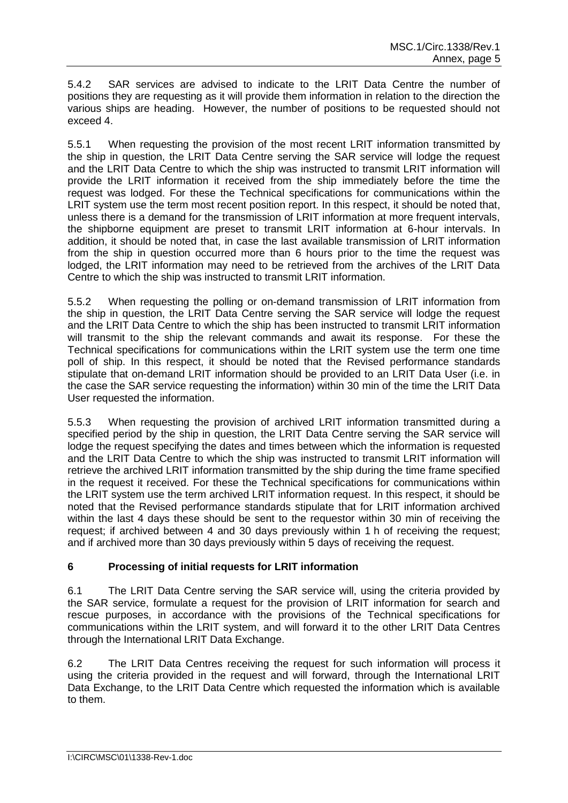5.4.2 SAR services are advised to indicate to the LRIT Data Centre the number of positions they are requesting as it will provide them information in relation to the direction the various ships are heading. However, the number of positions to be requested should not exceed 4.

5.5.1 When requesting the provision of the most recent LRIT information transmitted by the ship in question, the LRIT Data Centre serving the SAR service will lodge the request and the LRIT Data Centre to which the ship was instructed to transmit LRIT information will provide the LRIT information it received from the ship immediately before the time the request was lodged. For these the Technical specifications for communications within the LRIT system use the term most recent position report. In this respect, it should be noted that, unless there is a demand for the transmission of LRIT information at more frequent intervals, the shipborne equipment are preset to transmit LRIT information at 6-hour intervals. In addition, it should be noted that, in case the last available transmission of LRIT information from the ship in question occurred more than 6 hours prior to the time the request was lodged, the LRIT information may need to be retrieved from the archives of the LRIT Data Centre to which the ship was instructed to transmit LRIT information.

5.5.2 When requesting the polling or on-demand transmission of LRIT information from the ship in question, the LRIT Data Centre serving the SAR service will lodge the request and the LRIT Data Centre to which the ship has been instructed to transmit LRIT information will transmit to the ship the relevant commands and await its response. For these the Technical specifications for communications within the LRIT system use the term one time poll of ship. In this respect, it should be noted that the Revised performance standards stipulate that on-demand LRIT information should be provided to an LRIT Data User (i.e. in the case the SAR service requesting the information) within 30 min of the time the LRIT Data User requested the information.

5.5.3 When requesting the provision of archived LRIT information transmitted during a specified period by the ship in question, the LRIT Data Centre serving the SAR service will lodge the request specifying the dates and times between which the information is requested and the LRIT Data Centre to which the ship was instructed to transmit LRIT information will retrieve the archived LRIT information transmitted by the ship during the time frame specified in the request it received. For these the Technical specifications for communications within the LRIT system use the term archived LRIT information request. In this respect, it should be noted that the Revised performance standards stipulate that for LRIT information archived within the last 4 days these should be sent to the requestor within 30 min of receiving the request; if archived between 4 and 30 days previously within 1 h of receiving the request; and if archived more than 30 days previously within 5 days of receiving the request.

# **6 Processing of initial requests for LRIT information**

6.1 The LRIT Data Centre serving the SAR service will, using the criteria provided by the SAR service, formulate a request for the provision of LRIT information for search and rescue purposes, in accordance with the provisions of the Technical specifications for communications within the LRIT system, and will forward it to the other LRIT Data Centres through the International LRIT Data Exchange.

6.2 The LRIT Data Centres receiving the request for such information will process it using the criteria provided in the request and will forward, through the International LRIT Data Exchange, to the LRIT Data Centre which requested the information which is available to them.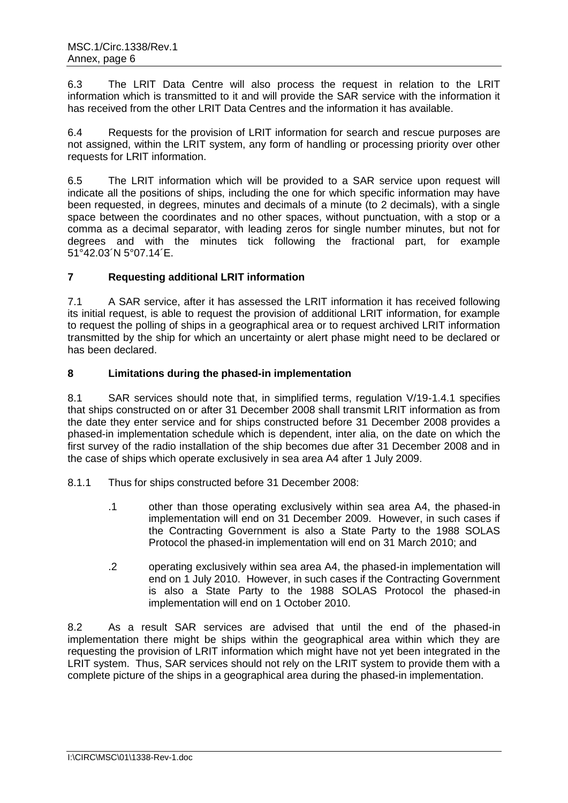6.3 The LRIT Data Centre will also process the request in relation to the LRIT information which is transmitted to it and will provide the SAR service with the information it has received from the other LRIT Data Centres and the information it has available.

6.4 Requests for the provision of LRIT information for search and rescue purposes are not assigned, within the LRIT system, any form of handling or processing priority over other requests for LRIT information.

6.5 The LRIT information which will be provided to a SAR service upon request will indicate all the positions of ships, including the one for which specific information may have been requested, in degrees, minutes and decimals of a minute (to 2 decimals), with a single space between the coordinates and no other spaces, without punctuation, with a stop or a comma as a decimal separator, with leading zeros for single number minutes, but not for degrees and with the minutes tick following the fractional part, for example 51°42.03´N 5°07.14´E.

# **7 Requesting additional LRIT information**

7.1 A SAR service, after it has assessed the LRIT information it has received following its initial request, is able to request the provision of additional LRIT information, for example to request the polling of ships in a geographical area or to request archived LRIT information transmitted by the ship for which an uncertainty or alert phase might need to be declared or has been declared.

## **8 Limitations during the phased-in implementation**

8.1 SAR services should note that, in simplified terms, regulation V/19-1.4.1 specifies that ships constructed on or after 31 December 2008 shall transmit LRIT information as from the date they enter service and for ships constructed before 31 December 2008 provides a phased-in implementation schedule which is dependent, inter alia, on the date on which the first survey of the radio installation of the ship becomes due after 31 December 2008 and in the case of ships which operate exclusively in sea area A4 after 1 July 2009.

- 8.1.1 Thus for ships constructed before 31 December 2008:
	- .1 other than those operating exclusively within sea area A4, the phased-in implementation will end on 31 December 2009. However, in such cases if the Contracting Government is also a State Party to the 1988 SOLAS Protocol the phased-in implementation will end on 31 March 2010; and
	- .2 operating exclusively within sea area A4, the phased-in implementation will end on 1 July 2010. However, in such cases if the Contracting Government is also a State Party to the 1988 SOLAS Protocol the phased-in implementation will end on 1 October 2010.

8.2 As a result SAR services are advised that until the end of the phased-in implementation there might be ships within the geographical area within which they are requesting the provision of LRIT information which might have not yet been integrated in the LRIT system. Thus, SAR services should not rely on the LRIT system to provide them with a complete picture of the ships in a geographical area during the phased-in implementation.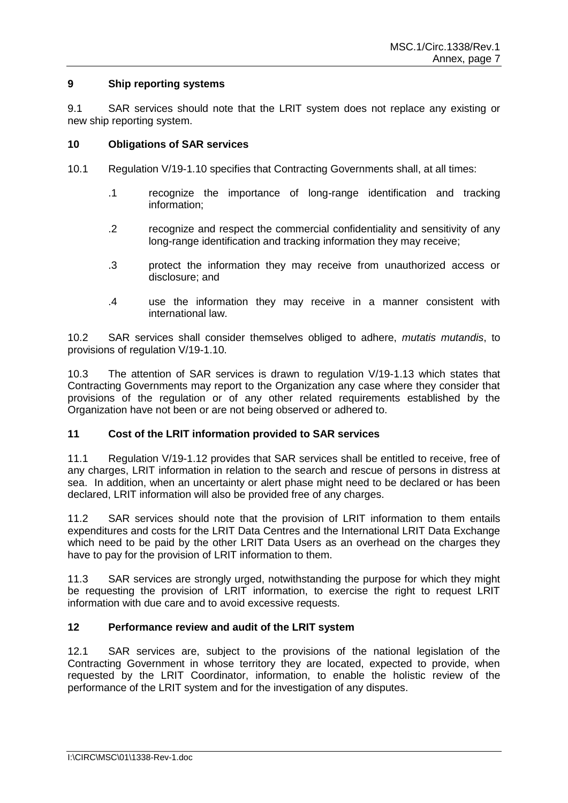### **9 Ship reporting systems**

9.1 SAR services should note that the LRIT system does not replace any existing or new ship reporting system.

### **10 Obligations of SAR services**

- 10.1 Regulation V/19-1.10 specifies that Contracting Governments shall, at all times:
	- .1 recognize the importance of long-range identification and tracking information;
	- .2 recognize and respect the commercial confidentiality and sensitivity of any long-range identification and tracking information they may receive;
	- .3 protect the information they may receive from unauthorized access or disclosure; and
	- .4 use the information they may receive in a manner consistent with international law.

10.2 SAR services shall consider themselves obliged to adhere, *mutatis mutandis*, to provisions of regulation V/19-1.10.

10.3 The attention of SAR services is drawn to regulation V/19-1.13 which states that Contracting Governments may report to the Organization any case where they consider that provisions of the regulation or of any other related requirements established by the Organization have not been or are not being observed or adhered to.

## **11 Cost of the LRIT information provided to SAR services**

11.1 Regulation V/19-1.12 provides that SAR services shall be entitled to receive, free of any charges, LRIT information in relation to the search and rescue of persons in distress at sea. In addition, when an uncertainty or alert phase might need to be declared or has been declared, LRIT information will also be provided free of any charges.

11.2 SAR services should note that the provision of LRIT information to them entails expenditures and costs for the LRIT Data Centres and the International LRIT Data Exchange which need to be paid by the other LRIT Data Users as an overhead on the charges they have to pay for the provision of LRIT information to them.

11.3 SAR services are strongly urged, notwithstanding the purpose for which they might be requesting the provision of LRIT information, to exercise the right to request LRIT information with due care and to avoid excessive requests.

## **12 Performance review and audit of the LRIT system**

12.1 SAR services are, subject to the provisions of the national legislation of the Contracting Government in whose territory they are located, expected to provide, when requested by the LRIT Coordinator, information, to enable the holistic review of the performance of the LRIT system and for the investigation of any disputes.